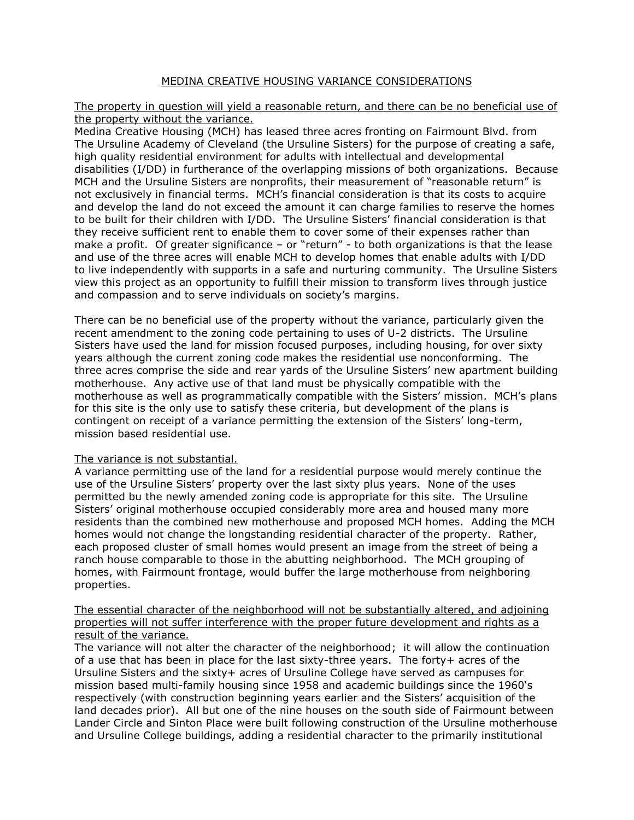# MEDINA CREATIVE HOUSING VARIANCE CONSIDERATIONS

The property in question will yield a reasonable return, and there can be no beneficial use of the property without the variance.

Medina Creative Housing (MCH) has leased three acres fronting on Fairmount Blvd. from The Ursuline Academy of Cleveland (the Ursuline Sisters) for the purpose of creating a safe, high quality residential environment for adults with intellectual and developmental disabilities (I/DD) in furtherance of the overlapping missions of both organizations. Because MCH and the Ursuline Sisters are nonprofits, their measurement of "reasonable return" is not exclusively in financial terms. MCH's financial consideration is that its costs to acquire and develop the land do not exceed the amount it can charge families to reserve the homes to be built for their children with I/DD. The Ursuline Sisters' financial consideration is that they receive sufficient rent to enable them to cover some of their expenses rather than make a profit. Of greater significance - or "return" - to both organizations is that the lease and use of the three acres will enable MCH to develop homes that enable adults with I/DD to live independently with supports in a safe and nurturing community. The Ursuline Sisters view this project as an opportunity to fulfill their mission to transform lives through justice and compassion and to serve individuals on society's margins.

There can be no beneficial use of the property without the variance, particularly given the recent amendment to the zoning code pertaining to uses of U-2 districts. The Ursuline Sisters have used the land for mission focused purposes, including housing, for over sixty years although the current zoning code makes the residential use nonconforming. The three acres comprise the side and rear yards of the Ursuline Sisters' new apartment building motherhouse. Any active use of that land must be physically compatible with the motherhouse as well as programmatically compatible with the Sisters' mission. MCH's plans for this site is the only use to satisfy these criteria, but development of the plans is contingent on receipt of a variance permitting the extension of the Sisters' long-term, mission based residential use.

#### The variance is not substantial.

A variance permitting use of the land for a residential purpose would merely continue the use of the Ursuline Sisters' property over the last sixty plus years. None of the uses permitted bu the newly amended zoning code is appropriate for this site. The Ursuline Sisters' original motherhouse occupied considerably more area and housed many more residents than the combined new motherhouse and proposed MCH homes. Adding the MCH homes would not change the longstanding residential character of the property. Rather, each proposed cluster of small homes would present an image from the street of being a ranch house comparable to those in the abutting neighborhood. The MCH grouping of homes, with Fairmount frontage, would buffer the large motherhouse from neighboring properties.

# The essential character of the neighborhood will not be substantially altered, and adjoining properties will not suffer interference with the proper future development and rights as a result of the variance.

The variance will not alter the character of the neighborhood; it will allow the continuation of a use that has been in place for the last sixty-three years. The forty+ acres of the Ursuline Sisters and the sixty+ acres of Ursuline College have served as campuses for mission based multi-family housing since 1958 and academic buildings since the 1960's respectively (with construction beginning years earlier and the Sisters' acquisition of the land decades prior). All but one of the nine houses on the south side of Fairmount between Lander Circle and Sinton Place were built following construction of the Ursuline motherhouse and Ursuline College buildings, adding a residential character to the primarily institutional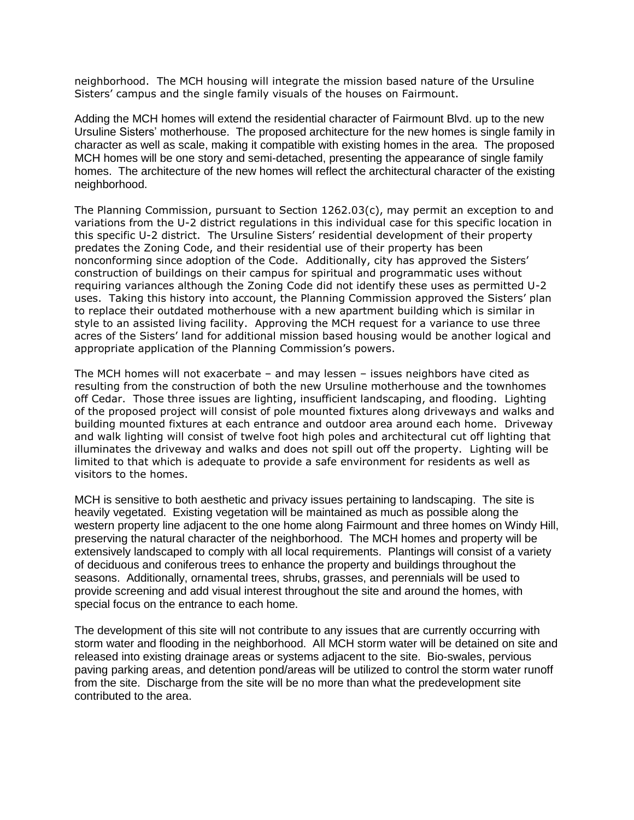neighborhood. The MCH housing will integrate the mission based nature of the Ursuline Sisters' campus and the single family visuals of the houses on Fairmount.

Adding the MCH homes will extend the residential character of Fairmount Blvd. up to the new Ursuline Sisters' motherhouse. The proposed architecture for the new homes is single family in character as well as scale, making it compatible with existing homes in the area. The proposed MCH homes will be one story and semi-detached, presenting the appearance of single family homes. The architecture of the new homes will reflect the architectural character of the existing neighborhood.

The Planning Commission, pursuant to Section 1262.03(c), may permit an exception to and variations from the U-2 district regulations in this individual case for this specific location in this specific U-2 district. The Ursuline Sisters' residential development of their property predates the Zoning Code, and their residential use of their property has been nonconforming since adoption of the Code. Additionally, city has approved the Sisters' construction of buildings on their campus for spiritual and programmatic uses without requiring variances although the Zoning Code did not identify these uses as permitted U-2 uses. Taking this history into account, the Planning Commission approved the Sisters' plan to replace their outdated motherhouse with a new apartment building which is similar in style to an assisted living facility. Approving the MCH request for a variance to use three acres of the Sisters' land for additional mission based housing would be another logical and appropriate application of the Planning Commission's powers.

The MCH homes will not exacerbate – and may lessen – issues neighbors have cited as resulting from the construction of both the new Ursuline motherhouse and the townhomes off Cedar. Those three issues are lighting, insufficient landscaping, and flooding. Lighting of the proposed project will consist of pole mounted fixtures along driveways and walks and building mounted fixtures at each entrance and outdoor area around each home. Driveway and walk lighting will consist of twelve foot high poles and architectural cut off lighting that illuminates the driveway and walks and does not spill out off the property. Lighting will be limited to that which is adequate to provide a safe environment for residents as well as visitors to the homes.

MCH is sensitive to both aesthetic and privacy issues pertaining to landscaping. The site is heavily vegetated. Existing vegetation will be maintained as much as possible along the western property line adjacent to the one home along Fairmount and three homes on Windy Hill, preserving the natural character of the neighborhood. The MCH homes and property will be extensively landscaped to comply with all local requirements. Plantings will consist of a variety of deciduous and coniferous trees to enhance the property and buildings throughout the seasons. Additionally, ornamental trees, shrubs, grasses, and perennials will be used to provide screening and add visual interest throughout the site and around the homes, with special focus on the entrance to each home.

The development of this site will not contribute to any issues that are currently occurring with storm water and flooding in the neighborhood. All MCH storm water will be detained on site and released into existing drainage areas or systems adjacent to the site. Bio-swales, pervious paving parking areas, and detention pond/areas will be utilized to control the storm water runoff from the site. Discharge from the site will be no more than what the predevelopment site contributed to the area.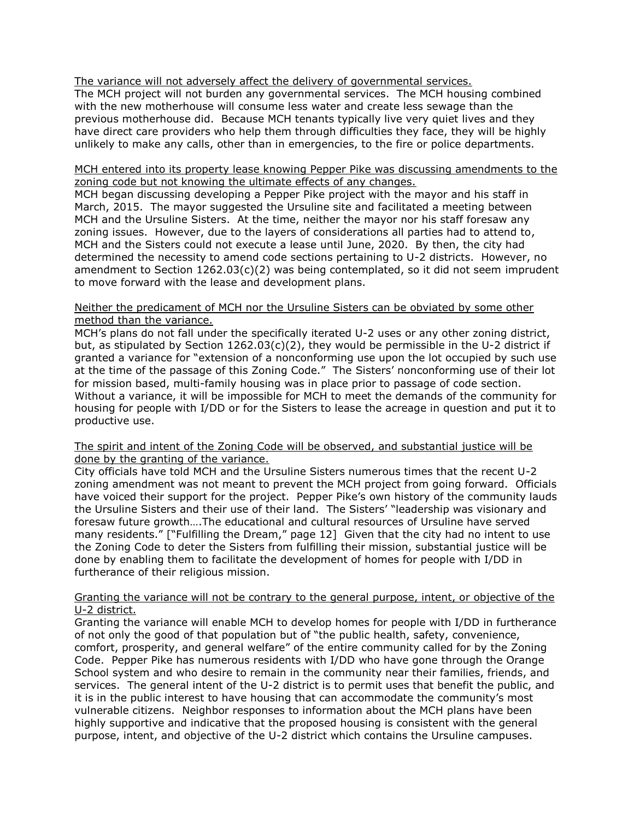The variance will not adversely affect the delivery of governmental services.

The MCH project will not burden any governmental services. The MCH housing combined with the new motherhouse will consume less water and create less sewage than the previous motherhouse did. Because MCH tenants typically live very quiet lives and they have direct care providers who help them through difficulties they face, they will be highly unlikely to make any calls, other than in emergencies, to the fire or police departments.

## MCH entered into its property lease knowing Pepper Pike was discussing amendments to the zoning code but not knowing the ultimate effects of any changes.

MCH began discussing developing a Pepper Pike project with the mayor and his staff in March, 2015. The mayor suggested the Ursuline site and facilitated a meeting between MCH and the Ursuline Sisters. At the time, neither the mayor nor his staff foresaw any zoning issues. However, due to the layers of considerations all parties had to attend to, MCH and the Sisters could not execute a lease until June, 2020. By then, the city had determined the necessity to amend code sections pertaining to U-2 districts. However, no amendment to Section 1262.03(c)(2) was being contemplated, so it did not seem imprudent to move forward with the lease and development plans.

## Neither the predicament of MCH nor the Ursuline Sisters can be obviated by some other method than the variance.

MCH's plans do not fall under the specifically iterated U-2 uses or any other zoning district, but, as stipulated by Section  $1262.03(c)(2)$ , they would be permissible in the U-2 district if granted a variance for "extension of a nonconforming use upon the lot occupied by such use at the time of the passage of this Zoning Code." The Sisters' nonconforming use of their lot for mission based, multi-family housing was in place prior to passage of code section. Without a variance, it will be impossible for MCH to meet the demands of the community for housing for people with I/DD or for the Sisters to lease the acreage in question and put it to productive use.

# The spirit and intent of the Zoning Code will be observed, and substantial justice will be done by the granting of the variance.

City officials have told MCH and the Ursuline Sisters numerous times that the recent U-2 zoning amendment was not meant to prevent the MCH project from going forward. Officials have voiced their support for the project. Pepper Pike's own history of the community lauds the Ursuline Sisters and their use of their land. The Sisters' "leadership was visionary and foresaw future growth….The educational and cultural resources of Ursuline have served many residents." ["Fulfilling the Dream," page 12] Given that the city had no intent to use the Zoning Code to deter the Sisters from fulfilling their mission, substantial justice will be done by enabling them to facilitate the development of homes for people with I/DD in furtherance of their religious mission.

#### Granting the variance will not be contrary to the general purpose, intent, or objective of the U-2 district.

Granting the variance will enable MCH to develop homes for people with I/DD in furtherance of not only the good of that population but of "the public health, safety, convenience, comfort, prosperity, and general welfare" of the entire community called for by the Zoning Code. Pepper Pike has numerous residents with I/DD who have gone through the Orange School system and who desire to remain in the community near their families, friends, and services. The general intent of the U-2 district is to permit uses that benefit the public, and it is in the public interest to have housing that can accommodate the community's most vulnerable citizens. Neighbor responses to information about the MCH plans have been highly supportive and indicative that the proposed housing is consistent with the general purpose, intent, and objective of the U-2 district which contains the Ursuline campuses.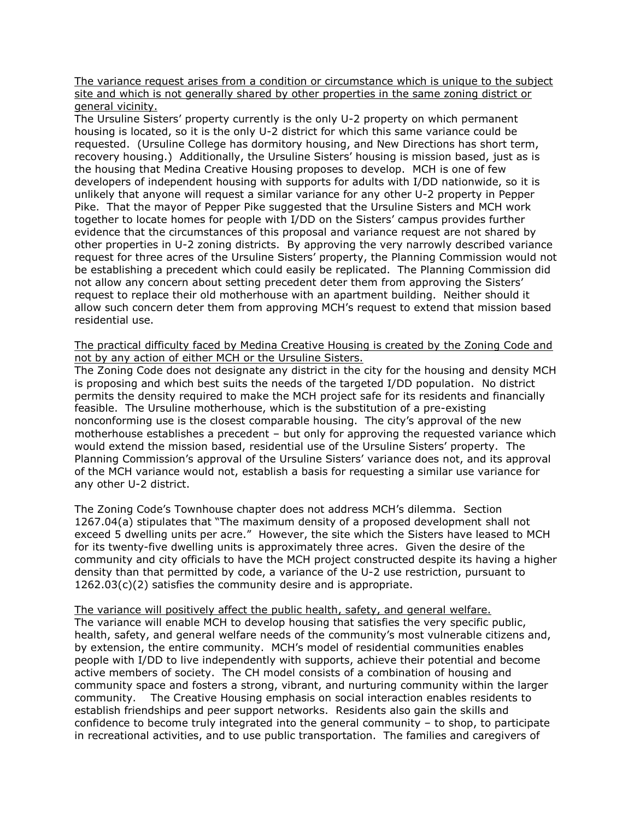The variance request arises from a condition or circumstance which is unique to the subject site and which is not generally shared by other properties in the same zoning district or general vicinity.

The Ursuline Sisters' property currently is the only U-2 property on which permanent housing is located, so it is the only U-2 district for which this same variance could be requested. (Ursuline College has dormitory housing, and New Directions has short term, recovery housing.) Additionally, the Ursuline Sisters' housing is mission based, just as is the housing that Medina Creative Housing proposes to develop. MCH is one of few developers of independent housing with supports for adults with I/DD nationwide, so it is unlikely that anyone will request a similar variance for any other U-2 property in Pepper Pike. That the mayor of Pepper Pike suggested that the Ursuline Sisters and MCH work together to locate homes for people with I/DD on the Sisters' campus provides further evidence that the circumstances of this proposal and variance request are not shared by other properties in U-2 zoning districts. By approving the very narrowly described variance request for three acres of the Ursuline Sisters' property, the Planning Commission would not be establishing a precedent which could easily be replicated. The Planning Commission did not allow any concern about setting precedent deter them from approving the Sisters' request to replace their old motherhouse with an apartment building. Neither should it allow such concern deter them from approving MCH's request to extend that mission based residential use.

The practical difficulty faced by Medina Creative Housing is created by the Zoning Code and not by any action of either MCH or the Ursuline Sisters.

The Zoning Code does not designate any district in the city for the housing and density MCH is proposing and which best suits the needs of the targeted I/DD population. No district permits the density required to make the MCH project safe for its residents and financially feasible. The Ursuline motherhouse, which is the substitution of a pre-existing nonconforming use is the closest comparable housing. The city's approval of the new motherhouse establishes a precedent – but only for approving the requested variance which would extend the mission based, residential use of the Ursuline Sisters' property. The Planning Commission's approval of the Ursuline Sisters' variance does not, and its approval of the MCH variance would not, establish a basis for requesting a similar use variance for any other U-2 district.

The Zoning Code's Townhouse chapter does not address MCH's dilemma. Section 1267.04(a) stipulates that "The maximum density of a proposed development shall not exceed 5 dwelling units per acre." However, the site which the Sisters have leased to MCH for its twenty-five dwelling units is approximately three acres. Given the desire of the community and city officials to have the MCH project constructed despite its having a higher density than that permitted by code, a variance of the U-2 use restriction, pursuant to 1262.03(c)(2) satisfies the community desire and is appropriate.

The variance will positively affect the public health, safety, and general welfare. The variance will enable MCH to develop housing that satisfies the very specific public, health, safety, and general welfare needs of the community's most vulnerable citizens and, by extension, the entire community. MCH's model of residential communities enables people with I/DD to live independently with supports, achieve their potential and become active members of society. The CH model consists of a combination of housing and community space and fosters a strong, vibrant, and nurturing community within the larger community. The Creative Housing emphasis on social interaction enables residents to establish friendships and peer support networks. Residents also gain the skills and confidence to become truly integrated into the general community – to shop, to participate in recreational activities, and to use public transportation. The families and caregivers of